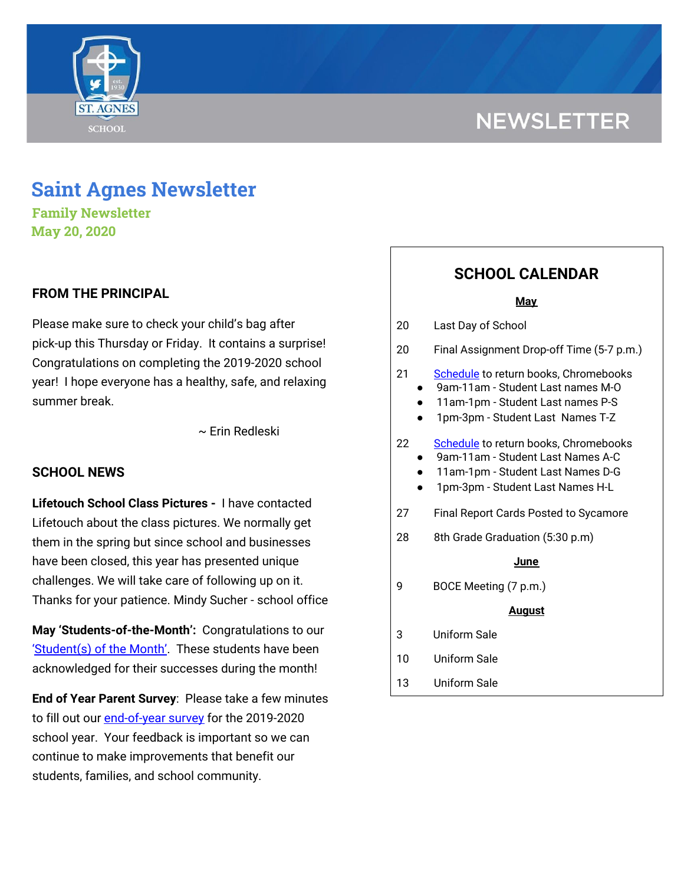

# **NEWSLETTER**

## **Saint Agnes Newsletter**

**Family Newsletter May 20, 2020**

#### **FROM THE PRINCIPAL**

Please make sure to check your child's bag after pick-up this Thursday or Friday. It contains a surprise! Congratulations on completing the 2019-2020 school year! I hope everyone has a healthy, safe, and relaxing summer break.

~ Erin Redleski

#### **SCHOOL NEWS**

**Lifetouch School Class Pictures -** I have contacted Lifetouch about the class pictures. We normally get them in the spring but since school and businesses have been closed, this year has presented unique challenges. We will take care of following up on it. Thanks for your patience. Mindy Sucher - school office

**May 'Students-of-the-Month':** Congratulations to our '[Student\(s\)](https://docs.google.com/spreadsheets/d/1XECfpSkrvBHHPTu0BqZbE9SdA0NhwHDf2bKaGQNZUqY/edit?usp=sharing) of the Month'. These students have been acknowledged for their successes during the month!

**End of Year Parent Survey**: Please take a few minutes to fill out our [end-of-year](https://www.surveymonkey.com/r/StAParentSurvey0520) survey for the 2019-2020 school year. Your feedback is important so we can continue to make improvements that benefit our students, families, and school community.

### **SCHOOL CALENDAR**

#### **May**

| 20 | Last Day of School |
|----|--------------------|
|----|--------------------|

- 20 Final Assignment Drop-off Time (5-7 p.m.)
- 21 [Schedule](https://docs.google.com/document/d/1apUCujKQM2QIvUxD4KWNE2487j4bKnFSdJO9KEWvJT8/edit?usp=sharing) to return books, Chromebooks
	- 9am-11am Student Last names M-O
	- 11am-1pm Student Last names P-S
	- 1pm-3pm Student Last Names T-Z
- 22 [Schedule](https://docs.google.com/document/d/1apUCujKQM2QIvUxD4KWNE2487j4bKnFSdJO9KEWvJT8/edit?usp=sharing) to return books, Chromebooks 9am-11am - Student Last Names A-C
	- 11am-1pm Student Last Names D-G
	- 1pm-3pm Student Last Names H-L
- 27 Final Report Cards Posted to Sycamore
- 28 8th Grade Graduation (5:30 p.m)

#### **June**

9 BOCE Meeting (7 p.m.)

#### **August**

- 3 Uniform Sale
- 10 Uniform Sale
- 13 Uniform Sale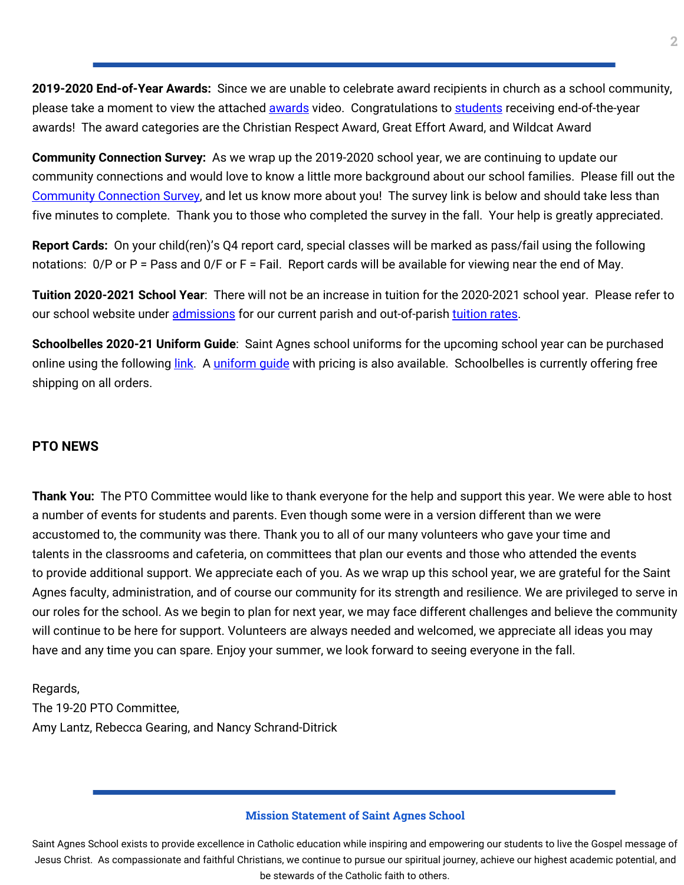**2019-2020 End-of-Year Awards:** Since we are unable to celebrate award recipients in church as a school community, please take a moment to view the attache[d](https://drive.google.com/file/d/1emJ8Ifg0iDte-db-v7yYMrbPs16TxeBG/view?usp=sharing) **[awards](https://drive.google.com/file/d/1emJ8Ifg0iDte-db-v7yYMrbPs16TxeBG/view?usp=sharing)** video. Congratulations to [students](https://docs.google.com/spreadsheets/d/1_0YHJrxh8VqbBUlOaMHZXxxxpnEKtmQbx2IYjhr03CU/edit?usp=sharing) receiving end-of-the-year awards! The award categories are the Christian Respect Award, Great Effort Award, and Wildcat Award

**Community Connection Survey:** As we wrap up the 2019-2020 school year, we are continuing to update our community connections and would love to know a little more background about our school families. Please fill out the [Community](https://www.surveymonkey.com/r/JJ5CH8Y) Connection Survey, and let us know more about you! The survey link is below and should take less than five minutes to complete. Thank you to those who completed the survey in the fall. Your help is greatly appreciated.

**Report Cards:** On your child(ren)'s Q4 report card, special classes will be marked as pass/fail using the following notations: 0/P or P = Pass and 0/F or F = Fail. Report cards will be available for viewing near the end of May.

**Tuition 2020-2021 School Year**: There will not be an increase in tuition for the 2020-2021 school year. Please refer to our school website under [admissions](https://school.saintagnes.com/admission/) for our current parish and out-of-parish [tuition](https://school.saintagnes.com/wp-content/uploads/2020/05/Tuition-Rates-2020-21.pdf) rates.

**Schoolbelles 2020-21 Uniform Guide**: Saint Agnes school uniforms for the upcoming school year can be purchased online using the following [link](http://www.schoolbelles.com/myschool/M37/s1947). A [uniform](https://drive.google.com/file/d/1RrodCix7XMaKmFLjeeyDJ5NohyzRQlZ3/view?usp=sharing) quide with pricing is also available. Schoolbelles is currently offering free shipping on all orders.

#### **PTO NEWS**

**Thank You:** The PTO Committee would like to thank everyone for the help and support this year. We were able to host a number of events for students and parents. Even though some were in a version different than we were accustomed to, the community was there. Thank you to all of our many volunteers who gave your time and talents in the classrooms and cafeteria, on committees that plan our events and those who attended the events to provide additional support. We appreciate each of you. As we wrap up this school year, we are grateful for the Saint Agnes faculty, administration, and of course our community for its strength and resilience. We are privileged to serve in our roles for the school. As we begin to plan for next year, we may face different challenges and believe the community will continue to be here for support. Volunteers are always needed and welcomed, we appreciate all ideas you may have and any time you can spare. Enjoy your summer, we look forward to seeing everyone in the fall.

Regards, The 19-20 PTO Committee, Amy Lantz, Rebecca Gearing, and Nancy Schrand-Ditrick

#### **Mission Statement of Saint Agnes School**

Saint Agnes School exists to provide excellence in Catholic education while inspiring and empowering our students to live the Gospel message of Jesus Christ. As compassionate and faithful Christians, we continue to pursue our spiritual journey, achieve our highest academic potential, and be stewards of the Catholic faith to others.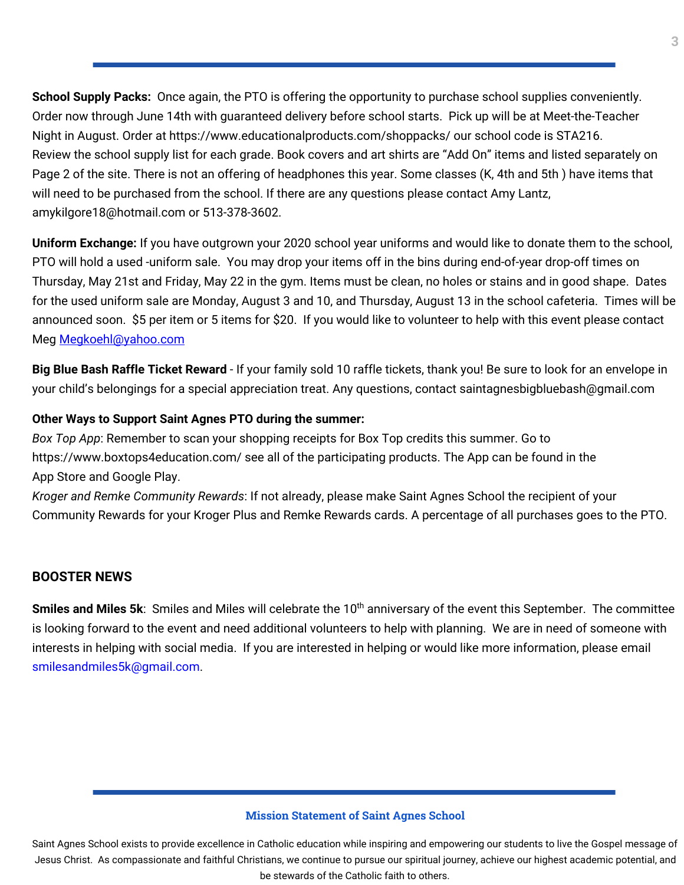**School Supply Packs:** Once again, the PTO is offering the opportunity to purchase school supplies conveniently. Order now through June 14th with guaranteed delivery before school starts. Pick up will be at Meet-the-Teacher Night in August. Order at https://www.educationalproducts.com/shoppacks/ our school code is STA216. Review the school supply list for each grade. Book covers and art shirts are "Add On" items and listed separately on Page 2 of the site. There is not an offering of headphones this year. Some classes (K, 4th and 5th ) have items that will need to be purchased from the school. If there are any questions please contact Amy Lantz, amykilgore18@hotmail.com or 513-378-3602.

**Uniform Exchange:** If you have outgrown your 2020 school year uniforms and would like to donate them to the school, PTO will hold a used -uniform sale. You may drop your items off in the bins during end-of-year drop-off times on Thursday, May 21st and Friday, May 22 in the gym. Items must be clean, no holes or stains and in good shape. Dates for the used uniform sale are Monday, August 3 and 10, and Thursday, August 13 in the school cafeteria. Times will be announced soon. \$5 per item or 5 items for \$20. If you would like to volunteer to help with this event please contact Meg [Megkoehl@yahoo.com](mailto:Megkoehl@yahoo.com)

**Big Blue Bash Raffle Ticket Reward** - If your family sold 10 raffle tickets, thank you! Be sure to look for an envelope in your child's belongings for a special appreciation treat. Any questions, contact saintagnesbigbluebash@gmail.com

#### **Other Ways to Support Saint Agnes PTO during the summer:**

*Box Top App*: Remember to scan your shopping receipts for Box Top credits this summer. Go to https://www.boxtops4education.com/ see all of the participating products. The App can be found in the App Store and Google Play.

*Kroger and Remke Community Rewards*: If not already, please make Saint Agnes School the recipient of your Community Rewards for your Kroger Plus and Remke Rewards cards. A percentage of all purchases goes to the PTO.

#### **BOOSTER NEWS**

Smiles and Miles 5k: Smiles and Miles will celebrate the 10<sup>th</sup> anniversary of the event this September. The committee is looking forward to the event and need additional volunteers to help with planning. We are in need of someone with interests in helping with social media. If you are interested in helping or would like more information, please email smilesandmiles5k@gmail.com.

#### **Mission Statement of Saint Agnes School**

Saint Agnes School exists to provide excellence in Catholic education while inspiring and empowering our students to live the Gospel message of Jesus Christ. As compassionate and faithful Christians, we continue to pursue our spiritual journey, achieve our highest academic potential, and be stewards of the Catholic faith to others.